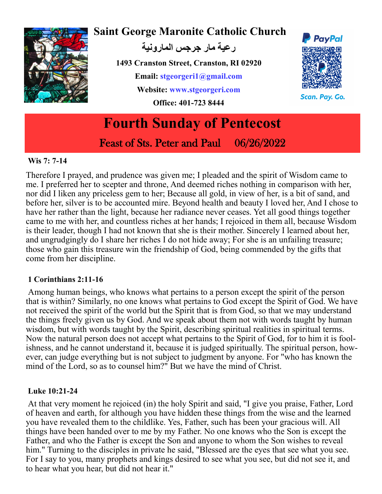

# **Saint George Maronite Catholic Church**

**رعية مار جرجس المارونية**

**1493 Cranston Street, Cranston, RI 02920 Email: stgeorgeri1@gmail.com Website: www.stgeorgeri.com Office: 401-723 8444**



Scan. Pay. Go.

# **Fourth Sunday of Pentecost**  Feast of Sts. Peter and Paul 06/26/2022

#### **Wis 7: 7-14**

Therefore I prayed, and prudence was given me; I pleaded and the spirit of Wisdom came to me. I preferred her to scepter and throne, And deemed riches nothing in comparison with her, nor did I liken any priceless gem to her; Because all gold, in view of her, is a bit of sand, and before her, silver is to be accounted mire. Beyond health and beauty I loved her, And I chose to have her rather than the light, because her radiance never ceases. Yet all good things together came to me with her, and countless riches at her hands; I rejoiced in them all, because Wisdom is their leader, though I had not known that she is their mother. Sincerely I learned about her, and ungrudgingly do I share her riches I do not hide away; For she is an unfailing treasure; those who gain this treasure win the friendship of God, being commended by the gifts that come from her discipline.

#### **1 Corinthians 2:11-16**

Among human beings, who knows what pertains to a person except the spirit of the person that is within? Similarly, no one knows what pertains to God except the Spirit of God. We have not received the spirit of the world but the Spirit that is from God, so that we may understand the things freely given us by God. And we speak about them not with words taught by human wisdom, but with words taught by the Spirit, describing spiritual realities in spiritual terms. Now the natural person does not accept what pertains to the Spirit of God, for to him it is foolishness, and he cannot understand it, because it is judged spiritually. The spiritual person, however, can judge everything but is not subject to judgment by anyone. For "who has known the mind of the Lord, so as to counsel him?" But we have the mind of Christ.

#### **Luke 10:21-24**

At that very moment he rejoiced (in) the holy Spirit and said, "I give you praise, Father, Lord of heaven and earth, for although you have hidden these things from the wise and the learned you have revealed them to the childlike. Yes, Father, such has been your gracious will. All things have been handed over to me by my Father. No one knows who the Son is except the Father, and who the Father is except the Son and anyone to whom the Son wishes to reveal him." Turning to the disciples in private he said, "Blessed are the eyes that see what you see. For I say to you, many prophets and kings desired to see what you see, but did not see it, and to hear what you hear, but did not hear it."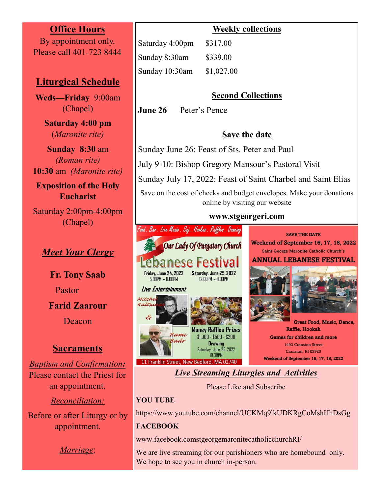#### **Office Hours**

By appointment only. Please call 401-723 8444

### **Liturgical Schedule**

**Weds—Friday** 9:00am (Chapel)

> **Saturday 4:00 pm**  (*Maronite rite)*

**Sunday****8:30** am *(Roman rite)*  **10:30** am *(Maronite rite)*

**Exposition of the Holy Eucharist**

Saturday 2:00pm-4:00pm (Chapel)

## *Meet Your Clergy*

**Fr. Tony Saab** Pastor **Farid Zaarour**  Deacon

#### **Sacraments**

*Baptism and Confirmation:*  Please contact the Priest for an appointment.

*Reconciliation:*  Before or after Liturgy or by appointment.

*Marriage*:

|                 | <u>uuri</u> |
|-----------------|-------------|
| Saturday 4:00pm | \$317.00    |
| Sunday 8:30am   | \$339.00    |
| Sunday 10:30am  | \$1,027.00  |

#### **Second Collections**

**June 26** Peter's Pence

#### **Save the date**

Sunday June 26: Feast of Sts. Peter and Paul

July 9-10: Bishop Gregory Mansour's Pastoral Visit

Sunday July 17, 2022: Feast of Saint Charbel and Saint Elias

Save on the cost of checks and budget envelopes. Make your donations online by visiting our website

#### **www.stgeorgeri.com**



# *Live Streaming Liturgies and Activities*

Please Like and Subscribe

#### **YOU TUBE**

https://www.youtube.com/channel/UCKMq9lkUDKRgCoMshHhDsGg

#### **FACEBOOK**

www.[facebook.comstgeorgemaronitecatholicchurchRI/](https://www.google.com/url?q=https%3A%2F%2Fwww.facebook.com%2FstgeorgemaronitecatholicchurchRI%2F&sa=D&sntz=1&usg=AFQjCNE-Ae1W5y-rFKg5gnY8z96SGF8B0A)

We are live streaming for our parishioners who are homebound only. We hope to see you in church in-person.

**Weekly collections**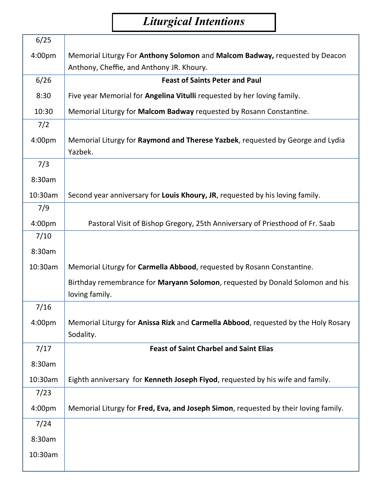# *Liturgical Intentions*

| 6/25    |                                                                                                 |
|---------|-------------------------------------------------------------------------------------------------|
| 4:00pm  | Memorial Liturgy For Anthony Solomon and Malcom Badway, requested by Deacon                     |
|         | Anthony, Cheffie, and Anthony JR. Khoury.                                                       |
| 6/26    | <b>Feast of Saints Peter and Paul</b>                                                           |
| 8:30    | Five year Memorial for Angelina Vitulli requested by her loving family.                         |
| 10:30   | Memorial Liturgy for Malcom Badway requested by Rosann Constantine.                             |
| 7/2     |                                                                                                 |
| 4:00pm  | Memorial Liturgy for Raymond and Therese Yazbek, requested by George and Lydia<br>Yazbek.       |
| 7/3     |                                                                                                 |
| 8:30am  |                                                                                                 |
| 10:30am | Second year anniversary for Louis Khoury, JR, requested by his loving family.                   |
| 7/9     |                                                                                                 |
| 4:00pm  | Pastoral Visit of Bishop Gregory, 25th Anniversary of Priesthood of Fr. Saab                    |
| 7/10    |                                                                                                 |
| 8:30am  |                                                                                                 |
| 10:30am | Memorial Liturgy for Carmella Abbood, requested by Rosann Constantine.                          |
|         | Birthday remembrance for Maryann Solomon, requested by Donald Solomon and his                   |
|         | loving family.                                                                                  |
| 7/16    |                                                                                                 |
| 4:00pm  | Memorial Liturgy for Anissa Rizk and Carmella Abbood, requested by the Holy Rosary<br>Sodality. |
| 7/17    | <b>Feast of Saint Charbel and Saint Elias</b>                                                   |
| 8:30am  |                                                                                                 |
| 10:30am | Eighth anniversary for Kenneth Joseph Fiyod, requested by his wife and family.                  |
| 7/23    |                                                                                                 |
| 4:00pm  | Memorial Liturgy for Fred, Eva, and Joseph Simon, requested by their loving family.             |
| 7/24    |                                                                                                 |
| 8:30am  |                                                                                                 |
| 10:30am |                                                                                                 |
|         |                                                                                                 |